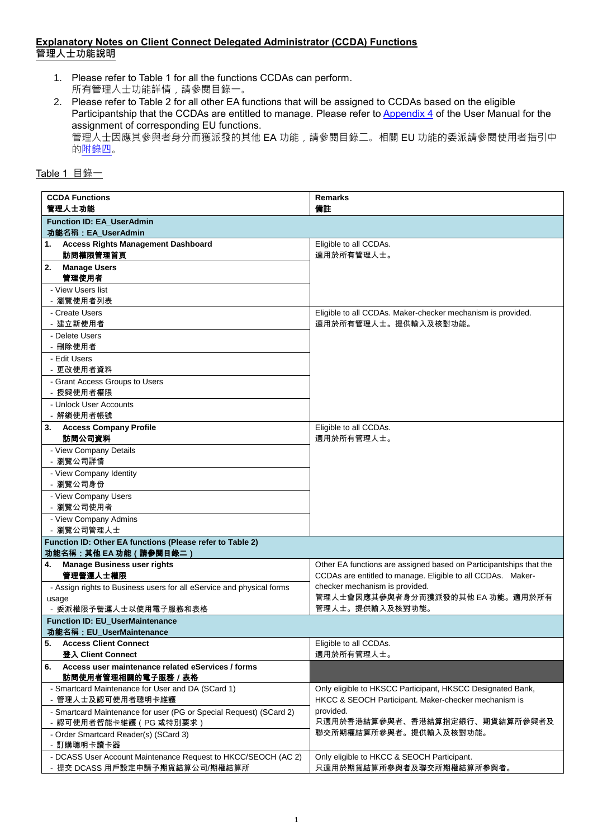## **Explanatory Notes on Client Connect Delegated Administrator (CCDA) Functions** 管理人士功能說明

- 1. Please refer to Table 1 for all the functions CCDAs can perform. 所有管理人士功能詳情,請參閱目錄一。
- 2. Please refer to Table 2 for all other EA functions that will be assigned to CCDAs based on the eligible Participantship that the CCDAs are entitled to manage. Please refer to [Appendix 4](https://www.hkex.com.hk/-/media/HKEX-Market/Services/Next-Generation-Post-Trade-Programme/Stock-connect-User-manual/Client-Connect_Appendix-4.pdf?la=en) of the User Manual for the assignment of corresponding EU functions. 管理人士因應其參與者身分而獲派發的其他 EA 功能,請參閱目錄二。相關 EU 功能的委派請參閱使用者指引中 [的附錄四](https://www.hkex.com.hk/-/media/HKEX-Market/Services/Next-Generation-Post-Trade-Programme/Stock-connect-User-manual/Client-Connect_Appendix-4.pdf?la=en)。

| Table | 日 祓 |
|-------|-----|
|-------|-----|

| <b>CCDA Functions</b><br>管理人士功能                                                | <b>Remarks</b><br>備註                                               |  |
|--------------------------------------------------------------------------------|--------------------------------------------------------------------|--|
| <b>Function ID: EA_UserAdmin</b>                                               |                                                                    |  |
| 功能名稱: EA_UserAdmin                                                             |                                                                    |  |
| <b>Access Rights Management Dashboard</b><br>1.<br>訪問權限管理首頁                    | Eligible to all CCDAs.<br>適用於所有管理人士。                               |  |
| <b>Manage Users</b><br>2.                                                      |                                                                    |  |
| 管理使用者                                                                          |                                                                    |  |
| - View Users list                                                              |                                                                    |  |
| - 瀏覽使用者列表<br>- Create Users                                                    | Eligible to all CCDAs. Maker-checker mechanism is provided.        |  |
| - 建立新使用者                                                                       | 適用於所有管理人士。提供輸入及核對功能。                                               |  |
| - Delete Users                                                                 |                                                                    |  |
| - 刪除使用者                                                                        |                                                                    |  |
| - Edit Users                                                                   |                                                                    |  |
| - 更改使用者資料                                                                      |                                                                    |  |
| - Grant Access Groups to Users                                                 |                                                                    |  |
| - 授與使用者權限                                                                      |                                                                    |  |
| - Unlock User Accounts<br>- 解鎖使用者帳號                                            |                                                                    |  |
| 3. Access Company Profile                                                      | Eligible to all CCDAs.                                             |  |
| 訪問公司資料                                                                         | 適用於所有管理人士。                                                         |  |
| - View Company Details                                                         |                                                                    |  |
| - 瀏覽公司詳情                                                                       |                                                                    |  |
| - View Company Identity                                                        |                                                                    |  |
| - 瀏覽公司身份                                                                       |                                                                    |  |
| - View Company Users                                                           |                                                                    |  |
| - 瀏覽公司使用者<br>- View Company Admins                                             |                                                                    |  |
| - 瀏覽公司管理人士                                                                     |                                                                    |  |
| Function ID: Other EA functions (Please refer to Table 2)                      |                                                                    |  |
| 功能名稱:其他 EA 功能 (請參閱目錄二)                                                         |                                                                    |  |
| <b>Manage Business user rights</b><br>4.                                       | Other EA functions are assigned based on Participantships that the |  |
| 管理營運人士權限                                                                       | CCDAs are entitled to manage. Eligible to all CCDAs. Maker-        |  |
| - Assign rights to Business users for all eService and physical forms          | checker mechanism is provided.<br>管理人士會因應其參與者身分而獲派發的其他 EA 功能。適用於所有 |  |
| usage<br>- 委派權限予營運人士以使用電子服務和表格                                                 | 管理人士。提供輸入及核對功能。                                                    |  |
| <b>Function ID: EU UserMaintenance</b>                                         |                                                                    |  |
| 功能名稱: EU UserMaintenance                                                       |                                                                    |  |
| <b>Access Client Connect</b><br>5.                                             | Eligible to all CCDAs.                                             |  |
| 登入 Client Connect                                                              | 適用於所有管理人士。                                                         |  |
| Access user maintenance related eServices / forms<br>6.<br>訪問使用者管理相關的電子服務 / 表格 |                                                                    |  |
| - Smartcard Maintenance for User and DA (SCard 1)                              | Only eligible to HKSCC Participant, HKSCC Designated Bank,         |  |
| - 管理人士及認可使用者聰明卡維護                                                              | HKCC & SEOCH Participant. Maker-checker mechanism is               |  |
| - Smartcard Maintenance for user (PG or Special Request) (SCard 2)             | provided.                                                          |  |
| - 認可使用者智能卡維護 ( PG 或特別要求 )                                                      | 只適用於香港結算參與者、香港結算指定銀行、期貨結算所參與者及<br>聯交所期權結算所參與者。提供輸入及核對功能。           |  |
| - Order Smartcard Reader(s) (SCard 3)<br>- 訂購聰明卡讀卡器                            |                                                                    |  |
| - DCASS User Account Maintenance Request to HKCC/SEOCH (AC 2)                  | Only eligible to HKCC & SEOCH Participant.                         |  |
| - 提交 DCASS 用戶設定申請予期貨結算公司/期權結算所                                                 | 只適用於期貨結算所參與者及聯交所期權結算所參與者。                                          |  |